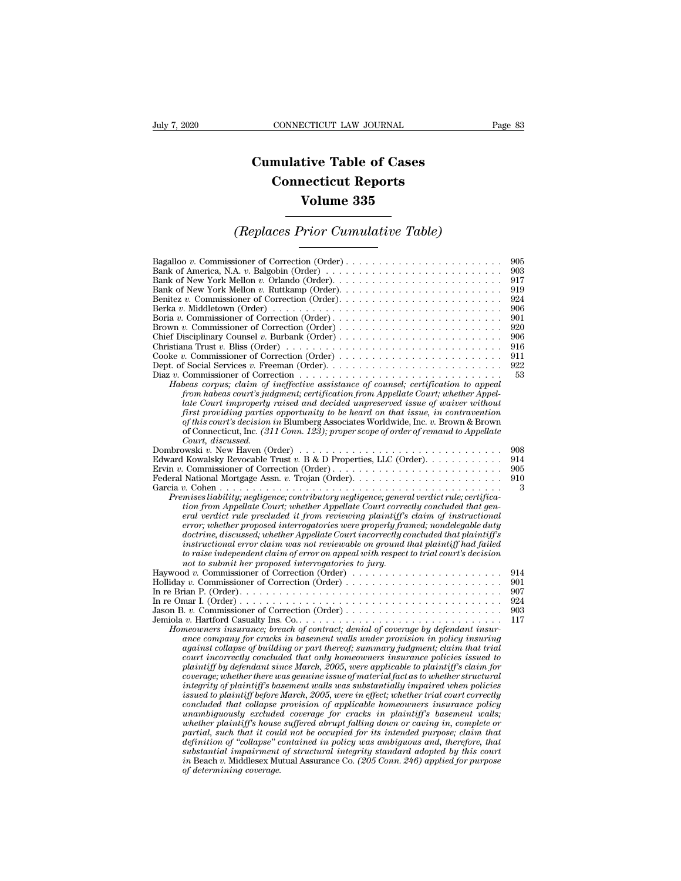## **CONNECTICUT LAW JOURNAL**<br> **Cumulative Table of Cases<br>
Connecticut Reports CONNECTICUT LAW JOURNAL**<br> **CONNECTICUT LAW JOURNAL**<br> **CONNECTICUT Reports<br>
Volume 335 ECTICUT LAW JOURNAL**<br> **Volume 335**<br> **Volume 335**<br> **Volume 335**<br> **Prior Cumulative Table) CONNECTICUT LAW JOURNAL** Page 83<br> **Cumulative Table of Cases<br>
Connecticut Reports<br>
Volume 335<br>** *(Replaces Prior Cumulative Table)*

| <b>Volume 335</b>                                                                                                                                                                                                                                                                                                                                                                                                                                                                                                                                                                                                                                                                                                                                                                                                                                                                                                                                                                                                                                                                                                                                                                                                                                                                                                                                                         |                                                                                        |
|---------------------------------------------------------------------------------------------------------------------------------------------------------------------------------------------------------------------------------------------------------------------------------------------------------------------------------------------------------------------------------------------------------------------------------------------------------------------------------------------------------------------------------------------------------------------------------------------------------------------------------------------------------------------------------------------------------------------------------------------------------------------------------------------------------------------------------------------------------------------------------------------------------------------------------------------------------------------------------------------------------------------------------------------------------------------------------------------------------------------------------------------------------------------------------------------------------------------------------------------------------------------------------------------------------------------------------------------------------------------------|----------------------------------------------------------------------------------------|
| (Replaces Prior Cumulative Table)                                                                                                                                                                                                                                                                                                                                                                                                                                                                                                                                                                                                                                                                                                                                                                                                                                                                                                                                                                                                                                                                                                                                                                                                                                                                                                                                         |                                                                                        |
| Bank of America, N.A. v. Balgobin (Order) $\ldots \ldots \ldots \ldots \ldots \ldots \ldots \ldots \ldots$<br>Berka v. Middletown (Order) $\ldots \ldots \ldots \ldots \ldots \ldots \ldots \ldots \ldots \ldots \ldots \ldots \ldots$<br>Boria v. Commissioner of Correction (Order)<br>Brown v. Commissioner of Correction (Order)<br>Diaz v. Commissioner of Correction $\ldots \ldots \ldots \ldots \ldots \ldots \ldots \ldots \ldots \ldots \ldots$<br>Habeas corpus; claim of ineffective assistance of counsel; certification to appeal<br>from habeas court's judgment; certification from Appellate Court; whether Appel-<br>late Court improperly raised and decided unpreserved issue of waiver without<br>first providing parties opportunity to be heard on that issue, in contravention<br>of this court's decision in Blumberg Associates Worldwide, Inc. v. Brown & Brown<br>of Connecticut, Inc. $(311 \text{ Comn. } 12\overline{3})$ ; proper scope of order of remand to Appellate                                                                                                                                                                                                                                                                                                                                                                   | 905<br>903<br>917<br>919<br>924<br>906<br>901<br>920<br>906<br>916<br>911<br>922<br>53 |
| Court. discussed.<br>Dombrowski v. New Haven (Order) $\ldots \ldots \ldots \ldots \ldots \ldots \ldots \ldots \ldots \ldots \ldots$<br>Edward Kowalsky Revocable Trust v. B & D Properties, LLC (Order).<br>Premises liability; negligence; contributory negligence; general verdict rule; certifica-<br>tion from Appellate Court; whether Appellate Court correctly concluded that gen-<br>eral verdict rule precluded it from reviewing plaintiff's claim of instructional<br>error; whether proposed interrogatories were properly framed; nondelegable duty<br>doctrine, discussed; whether Appellate Court incorrectly concluded that plaintiff's<br>instructional error claim was not reviewable on ground that plaintiff had failed<br>to raise independent claim of error on appeal with respect to trial court's decision<br>not to submit her proposed interrogatories to jury.                                                                                                                                                                                                                                                                                                                                                                                                                                                                                | 908<br>914<br>905<br>910<br>3                                                          |
| Haywood v. Commissioner of Correction (Order)<br>Homeowners insurance; breach of contract; denial of coverage by defendant insur-<br>ance company for cracks in basement walls under provision in policy insuring<br>against collapse of building or part thereof; summary judgment; claim that trial<br>court incorrectly concluded that only homeowners insurance policies issued to<br>plaintiff by defendant since March, $2005$ , were applicable to plaintiff's claim for<br>coverage; whether there was genuine issue of material fact as to whether structural<br>integrity of plaintiff's basement walls was substantially impaired when policies<br>issued to plaintiff before March, 2005, were in effect; whether trial court correctly<br>concluded that collapse provision of applicable homeowners insurance policy<br>unambiguously excluded coverage for cracks in plaintiff's basement walls;<br>whether plaintiff's house suffered abrupt falling down or caving in, complete or<br>partial, such that it could not be occupied for its intended purpose; claim that<br>definition of "collapse" contained in policy was ambiguous and, therefore, that<br>substantial impairment of structural integrity standard adopted by this court<br>in Beach v. Middlesex Mutual Assurance Co. (205 Conn. 246) applied for purpose<br>of determining coverage. | 914<br>901<br>907<br>924<br>903<br>117                                                 |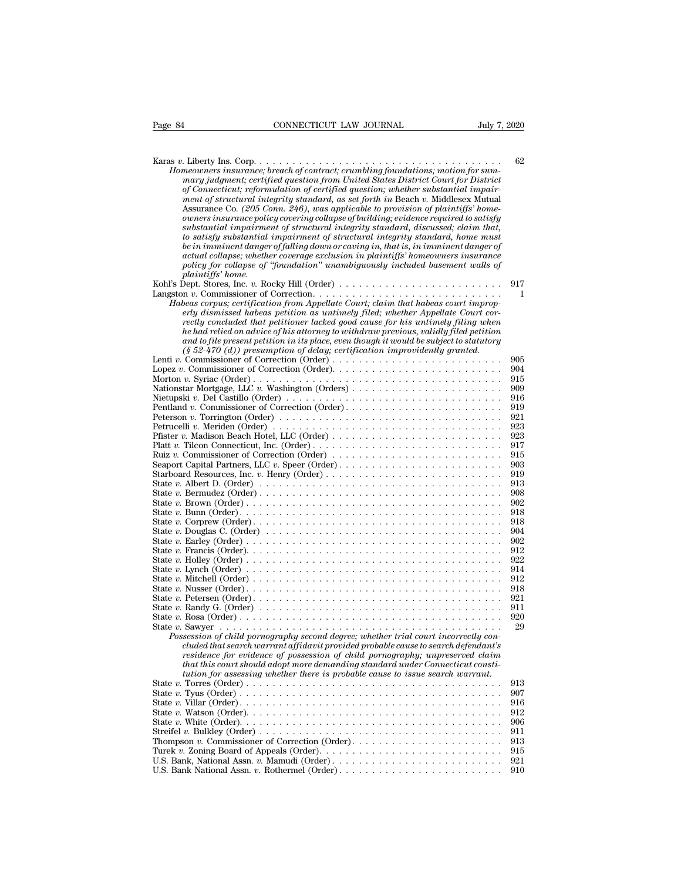| Page 84                  | CONNECTICUT LAW JOURNAL                                                                                                                                                | July 7, 2020 |            |
|--------------------------|------------------------------------------------------------------------------------------------------------------------------------------------------------------------|--------------|------------|
|                          |                                                                                                                                                                        |              |            |
|                          |                                                                                                                                                                        |              | 62         |
|                          | Homeowners insurance; breach of contract; crumbling foundations; motion for sum-<br>mary judgment; certified question from United States District Court for District   |              |            |
|                          | of Connecticut; reformulation of certified question; whether substantial impair-                                                                                       |              |            |
|                          | ment of structural integrity standard, as set forth in Beach v. Middlesex Mutual                                                                                       |              |            |
|                          | Assurance Co. (205 Conn. 246), was applicable to provision of plaintiffs' home-<br>owners insurance policy covering collapse of building; evidence required to satisfy |              |            |
|                          | substantial impairment of structural integrity standard, discussed; claim that,                                                                                        |              |            |
|                          | to satisfy substantial impairment of structural integrity standard, home must                                                                                          |              |            |
|                          | be in imminent danger of falling down or caving in, that is, in imminent danger of                                                                                     |              |            |
|                          | actual collapse; whether coverage exclusion in plaintiffs' homeowners insurance<br>policy for collapse of "foundation" unambiguously included basement walls of        |              |            |
| <i>plaintiffs'</i> home. |                                                                                                                                                                        |              |            |
|                          | Kohl's Dept. Stores, Inc. v. Rocky Hill (Order) $\dots \dots \dots \dots \dots \dots \dots \dots \dots \dots$                                                          |              | 917        |
|                          |                                                                                                                                                                        |              | 1          |
|                          | Habeas corpus; certification from Appellate Court; claim that habeas court improp-<br>erly dismissed habeas petition as untimely filed; whether Appellate Court cor-   |              |            |
|                          | rectly concluded that petitioner lacked good cause for his untimely filing when                                                                                        |              |            |
|                          | he had relied on advice of his attorney to withdraw previous, validly filed petition                                                                                   |              |            |
|                          | and to file present petition in its place, even though it would be subject to statutory                                                                                |              |            |
|                          | $(\S 52-470 (d))$ presumption of delay; certification improvidently granted.                                                                                           |              | 905        |
|                          |                                                                                                                                                                        |              | 904        |
|                          |                                                                                                                                                                        |              | 915        |
|                          |                                                                                                                                                                        |              | 909        |
|                          | Nietupski v. Del Castillo (Order) $\dots \dots \dots \dots \dots \dots \dots \dots \dots \dots \dots \dots \dots$<br>Pentland v. Commissioner of Correction (Order)    |              | 916<br>919 |
|                          |                                                                                                                                                                        |              | 921        |
|                          |                                                                                                                                                                        |              | 923        |
|                          |                                                                                                                                                                        |              | 923        |
|                          | Ruiz v. Commissioner of Correction (Order) $\dots \dots \dots \dots \dots \dots \dots \dots \dots \dots$                                                               |              | 917<br>915 |
|                          |                                                                                                                                                                        |              | 903        |
|                          |                                                                                                                                                                        |              | 919        |
|                          |                                                                                                                                                                        |              | 913<br>908 |
|                          |                                                                                                                                                                        |              | 902        |
|                          |                                                                                                                                                                        |              | 918        |
|                          |                                                                                                                                                                        |              | 918        |
|                          | State v. Douglas C. (Order) $\ldots \ldots \ldots \ldots \ldots \ldots \ldots \ldots \ldots \ldots \ldots \ldots \ldots$                                               |              | 904<br>902 |
|                          |                                                                                                                                                                        |              | 912        |
|                          |                                                                                                                                                                        |              | 922        |
|                          |                                                                                                                                                                        |              | 914        |
|                          |                                                                                                                                                                        |              | 912<br>918 |
|                          |                                                                                                                                                                        |              | 921        |
|                          | State v. Randy G. (Order) $\ldots \ldots \ldots \ldots \ldots \ldots \ldots \ldots \ldots \ldots \ldots \ldots \ldots$                                                 |              | 911        |
|                          |                                                                                                                                                                        |              | 920        |
|                          | Possession of child pornography second degree; whether trial court incorrectly con-                                                                                    |              | 29         |
|                          | cluded that search warrant affidavit provided probable cause to search defendant's                                                                                     |              |            |
|                          | residence for evidence of possession of child pornography; unpreserved claim                                                                                           |              |            |
|                          | that this court should adopt more demanding standard under Connecticut consti-<br>tution for assessing whether there is probable cause to issue search warrant.        |              |            |
|                          |                                                                                                                                                                        |              | 913        |
|                          |                                                                                                                                                                        |              | 907        |
|                          |                                                                                                                                                                        |              | 916        |
|                          |                                                                                                                                                                        |              | 912<br>906 |
|                          | Streifel v. Bulkley (Order) $\dots \dots \dots \dots \dots \dots \dots \dots \dots \dots \dots \dots \dots \dots \dots$                                                |              | 911        |
|                          |                                                                                                                                                                        |              | 913        |
|                          |                                                                                                                                                                        |              | 915        |
|                          | U.S. Bank, National Assn. v. Mamudi (Order)<br>U.S. Bank National Assn. v. Rothermel (Order)                                                                           |              | 921<br>910 |
|                          |                                                                                                                                                                        |              |            |